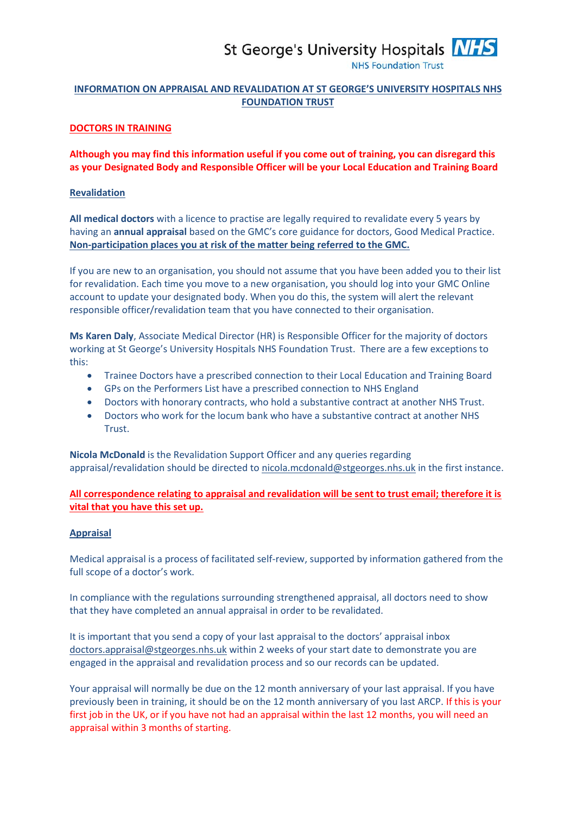# St George's University Hospitals **NHS**

**NHS Foundation Trust** 

# **INFORMATION ON APPRAISAL AND REVALIDATION AT ST GEORGE'S UNIVERSITY HOSPITALS NHS FOUNDATION TRUST**

#### **DOCTORS IN TRAINING**

**Although you may find this information useful if you come out of training, you can disregard this as your Designated Body and Responsible Officer will be your Local Education and Training Board**

#### **Revalidation**

**All medical doctors** with a licence to practise are legally required to revalidate every 5 years by having an **annual appraisal** based on the GMC's core guidance for doctors, Good Medical Practice. **Non-participation places you at risk of the matter being referred to the GMC.** 

If you are new to an organisation, you should not assume that you have been added you to their list for revalidation. Each time you move to a new organisation, you should log into your GMC Online account to update your designated body. When you do this, the system will alert the relevant responsible officer/revalidation team that you have connected to their organisation.

**Ms Karen Daly**, Associate Medical Director (HR) is Responsible Officer for the majority of doctors working at St George's University Hospitals NHS Foundation Trust. There are a few exceptions to this:

- Trainee Doctors have a prescribed connection to their Local Education and Training Board
- GPs on the Performers List have a prescribed connection to NHS England
- Doctors with honorary contracts, who hold a substantive contract at another NHS Trust.
- Doctors who work for the locum bank who have a substantive contract at another NHS Trust.

**Nicola McDonald** is the Revalidation Support Officer and any queries regarding appraisal/revalidation should be directed t[o nicola.mcdonald@stgeorges.nhs.uk](mailto:nicola.mcdonald@stgeorges.nhs.uk) in the first instance.

## **All correspondence relating to appraisal and revalidation will be sent to trust email; therefore it is vital that you have this set up.**

### **Appraisal**

Medical appraisal is a process of facilitated self-review, supported by information gathered from the full scope of a doctor's work.

In compliance with the regulations surrounding strengthened appraisal, all doctors need to show that they have completed an annual appraisal in order to be revalidated.

It is important that you send a copy of your last appraisal to the doctors' appraisal inbox [doctors.appraisal@stgeorges.nhs.uk](mailto:doctors.appraisal@stgeorges.nhs.uk) within 2 weeks of your start date to demonstrate you are engaged in the appraisal and revalidation process and so our records can be updated.

Your appraisal will normally be due on the 12 month anniversary of your last appraisal. If you have previously been in training, it should be on the 12 month anniversary of you last ARCP. If this is your first job in the UK, or if you have not had an appraisal within the last 12 months, you will need an appraisal within 3 months of starting.